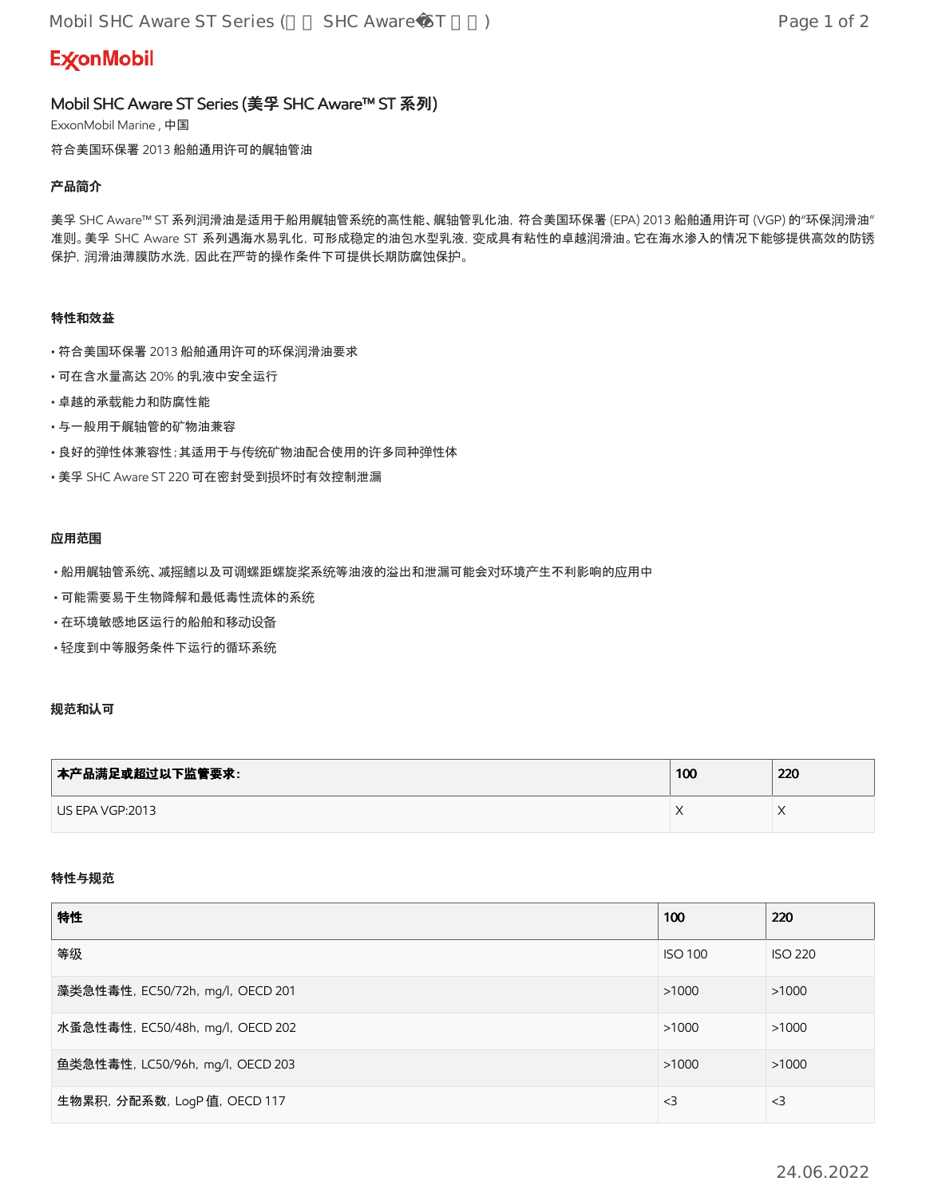# **ExconMobil**

# Mobil SHC Aware ST Series (美孚 SHC Aware™ ST 系列)

ExxonMobil Marine , 中国

符合美国环保署 2013 船舶通用许可的艉轴管油

## **产**品**简**介

美孚 SHC Aware™ ST 系列润滑油是适用于船用艉轴管系统的高性能、艉轴管乳化油,符合美国环保署 (EPA) 2013 船舶通用许可 (VGP) 的"环保润滑油" 准则。美孚 SHC Aware ST 系列遇海水易乳化,可形成稳定的油包水型乳液,变成具有粘性的卓越润滑油。它在海水渗入的情况下能够提供高效的防锈 保护,润滑油薄膜防水洗,因此在严苛的操作条件下可提供长期防腐蚀保护。

## 特性和效益

- 符合美国环保署 2013 船舶通用许可的环保润滑油要求
- 可在含水量高达 20% 的乳液中安全运行
- 卓越的承载能力和防腐性能
- 与一般用于艉轴管的矿物油兼容
- 良好的弹性体兼容性;其适用于与传统矿物油配合使用的许多同种弹性体
- 美孚 SHC Aware ST 220 可在密封受到损坏时有效控制泄漏

## **应**用范**围**

- 船用艉轴管系统、减摇鳍以及可调螺距螺旋桨系统等油液的溢出和泄漏可能会对环境产生不利影响的应用中
- 可能需要易于生物降解和最低毒性流体的系统
- 在环境敏感地区运行的船舶和移动设备
- 轻度到中等服务条件下运行的循环系统

# **规**范和**认**可

| │本产品满足或超过以下监管要求: | 100 | 220       |
|------------------|-----|-----------|
| US EPA VGP:2013  |     | $\lambda$ |

#### 特性与**规**范

| 特性                               | 100            | 220            |
|----------------------------------|----------------|----------------|
| 等级                               | <b>ISO 100</b> | <b>ISO 220</b> |
| 藻类急性毒性, EC50/72h, mg/l, OECD 201 | >1000          | >1000          |
| 水蚤急性毒性, EC50/48h, mg/l, OECD 202 | >1000          | >1000          |
| 鱼类急性毒性, LC50/96h, mg/l, OECD 203 | >1000          | >1000          |
| 生物累积, 分配系数, LogP 值, OECD 117     | $<$ 3          | $<$ 3          |